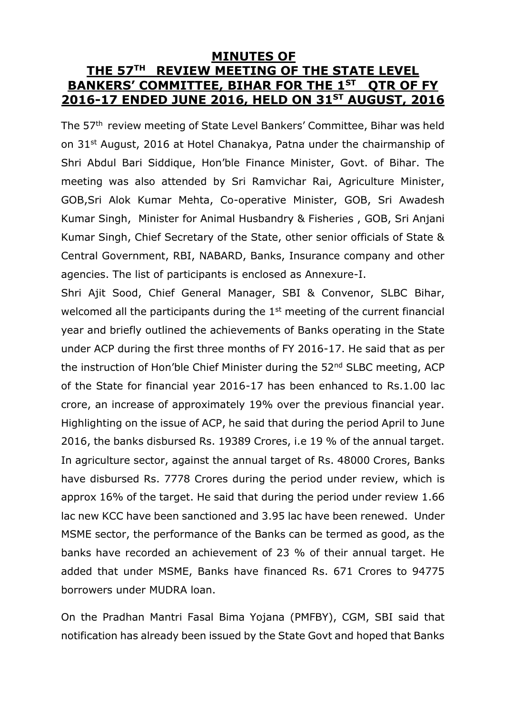#### **MINUTES OF THE 57TH REVIEW MEETING OF THE STATE LEVEL BANKERS' COMMITTEE, BIHAR FOR THE 1ST QTR OF FY 2016-17 ENDED JUNE 2016, HELD ON 31ST AUGUST, 2016**

The 57th review meeting of State Level Bankers' Committee, Bihar was held on 31st August, 2016 at Hotel Chanakya, Patna under the chairmanship of Shri Abdul Bari Siddique, Hon'ble Finance Minister, Govt. of Bihar. The meeting was also attended by Sri Ramvichar Rai, Agriculture Minister, GOB,Sri Alok Kumar Mehta, Co-operative Minister, GOB, Sri Awadesh Kumar Singh, Minister for Animal Husbandry & Fisheries , GOB, Sri Anjani Kumar Singh, Chief Secretary of the State, other senior officials of State & Central Government, RBI, NABARD, Banks, Insurance company and other agencies. The list of participants is enclosed as Annexure-I.

Shri Ajit Sood, Chief General Manager, SBI & Convenor, SLBC Bihar, welcomed all the participants during the 1<sup>st</sup> meeting of the current financial year and briefly outlined the achievements of Banks operating in the State under ACP during the first three months of FY 2016-17. He said that as per the instruction of Hon'ble Chief Minister during the 52<sup>nd</sup> SLBC meeting, ACP of the State for financial year 2016-17 has been enhanced to Rs.1.00 lac crore, an increase of approximately 19% over the previous financial year. Highlighting on the issue of ACP, he said that during the period April to June 2016, the banks disbursed Rs. 19389 Crores, i.e 19 % of the annual target. In agriculture sector, against the annual target of Rs. 48000 Crores, Banks have disbursed Rs. 7778 Crores during the period under review, which is approx 16% of the target. He said that during the period under review 1.66 lac new KCC have been sanctioned and 3.95 lac have been renewed. Under MSME sector, the performance of the Banks can be termed as good, as the banks have recorded an achievement of 23 % of their annual target. He added that under MSME, Banks have financed Rs. 671 Crores to 94775 borrowers under MUDRA loan.

On the Pradhan Mantri Fasal Bima Yojana (PMFBY), CGM, SBI said that notification has already been issued by the State Govt and hoped that Banks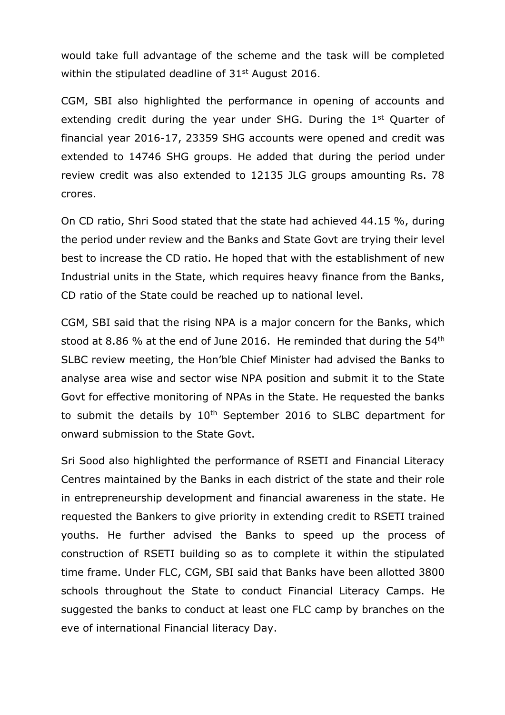would take full advantage of the scheme and the task will be completed within the stipulated deadline of  $31<sup>st</sup>$  August 2016.

CGM, SBI also highlighted the performance in opening of accounts and extending credit during the year under SHG. During the 1<sup>st</sup> Quarter of financial year 2016-17, 23359 SHG accounts were opened and credit was extended to 14746 SHG groups. He added that during the period under review credit was also extended to 12135 JLG groups amounting Rs. 78 crores.

On CD ratio, Shri Sood stated that the state had achieved 44.15 %, during the period under review and the Banks and State Govt are trying their level best to increase the CD ratio. He hoped that with the establishment of new Industrial units in the State, which requires heavy finance from the Banks, CD ratio of the State could be reached up to national level.

CGM, SBI said that the rising NPA is a major concern for the Banks, which stood at 8.86 % at the end of June 2016. He reminded that during the 54<sup>th</sup> SLBC review meeting, the Hon'ble Chief Minister had advised the Banks to analyse area wise and sector wise NPA position and submit it to the State Govt for effective monitoring of NPAs in the State. He requested the banks to submit the details by 10<sup>th</sup> September 2016 to SLBC department for onward submission to the State Govt.

Sri Sood also highlighted the performance of RSETI and Financial Literacy Centres maintained by the Banks in each district of the state and their role in entrepreneurship development and financial awareness in the state. He requested the Bankers to give priority in extending credit to RSETI trained youths. He further advised the Banks to speed up the process of construction of RSETI building so as to complete it within the stipulated time frame. Under FLC, CGM, SBI said that Banks have been allotted 3800 schools throughout the State to conduct Financial Literacy Camps. He suggested the banks to conduct at least one FLC camp by branches on the eve of international Financial literacy Day.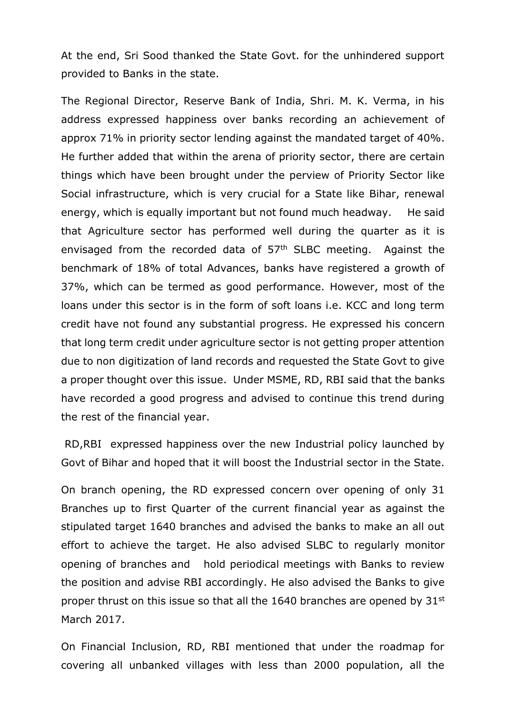At the end, Sri Sood thanked the State Govt. for the unhindered support provided to Banks in the state.

The Regional Director, Reserve Bank of India, Shri. M. K. Verma, in his address expressed happiness over banks recording an achievement of approx 71% in priority sector lending against the mandated target of 40%. He further added that within the arena of priority sector, there are certain things which have been brought under the perview of Priority Sector like Social infrastructure, which is very crucial for a State like Bihar, renewal energy, which is equally important but not found much headway. He said that Agriculture sector has performed well during the quarter as it is envisaged from the recorded data of 57<sup>th</sup> SLBC meeting. Against the benchmark of 18% of total Advances, banks have registered a growth of 37%, which can be termed as good performance. However, most of the loans under this sector is in the form of soft loans i.e. KCC and long term credit have not found any substantial progress. He expressed his concern that long term credit under agriculture sector is not getting proper attention due to non digitization of land records and requested the State Govt to give a proper thought over this issue. Under MSME, RD, RBI said that the banks have recorded a good progress and advised to continue this trend during the rest of the financial year.

RD,RBI expressed happiness over the new Industrial policy launched by Govt of Bihar and hoped that it will boost the Industrial sector in the State.

On branch opening, the RD expressed concern over opening of only 31 Branches up to first Quarter of the current financial year as against the stipulated target 1640 branches and advised the banks to make an all out effort to achieve the target. He also advised SLBC to regularly monitor opening of branches and hold periodical meetings with Banks to review the position and advise RBI accordingly. He also advised the Banks to give proper thrust on this issue so that all the 1640 branches are opened by 31<sup>st</sup> March 2017.

On Financial Inclusion, RD, RBI mentioned that under the roadmap for covering all unbanked villages with less than 2000 population, all the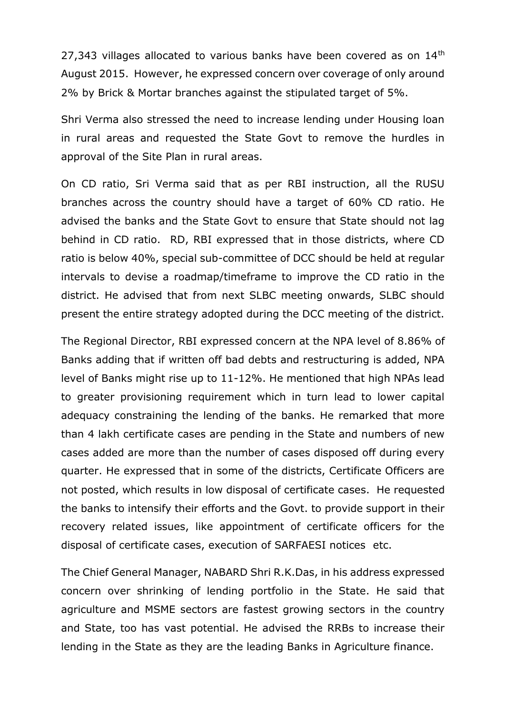27,343 villages allocated to various banks have been covered as on 14<sup>th</sup> August 2015. However, he expressed concern over coverage of only around 2% by Brick & Mortar branches against the stipulated target of 5%.

Shri Verma also stressed the need to increase lending under Housing loan in rural areas and requested the State Govt to remove the hurdles in approval of the Site Plan in rural areas.

On CD ratio, Sri Verma said that as per RBI instruction, all the RUSU branches across the country should have a target of 60% CD ratio. He advised the banks and the State Govt to ensure that State should not lag behind in CD ratio. RD, RBI expressed that in those districts, where CD ratio is below 40%, special sub-committee of DCC should be held at regular intervals to devise a roadmap/timeframe to improve the CD ratio in the district. He advised that from next SLBC meeting onwards, SLBC should present the entire strategy adopted during the DCC meeting of the district.

The Regional Director, RBI expressed concern at the NPA level of 8.86% of Banks adding that if written off bad debts and restructuring is added, NPA level of Banks might rise up to 11-12%. He mentioned that high NPAs lead to greater provisioning requirement which in turn lead to lower capital adequacy constraining the lending of the banks. He remarked that more than 4 lakh certificate cases are pending in the State and numbers of new cases added are more than the number of cases disposed off during every quarter. He expressed that in some of the districts, Certificate Officers are not posted, which results in low disposal of certificate cases. He requested the banks to intensify their efforts and the Govt. to provide support in their recovery related issues, like appointment of certificate officers for the disposal of certificate cases, execution of SARFAESI notices etc.

The Chief General Manager, NABARD Shri R.K.Das, in his address expressed concern over shrinking of lending portfolio in the State. He said that agriculture and MSME sectors are fastest growing sectors in the country and State, too has vast potential. He advised the RRBs to increase their lending in the State as they are the leading Banks in Agriculture finance.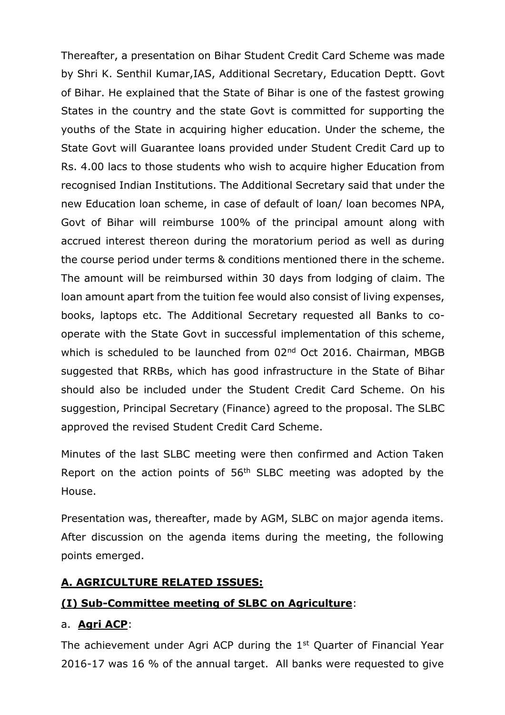Thereafter, a presentation on Bihar Student Credit Card Scheme was made by Shri K. Senthil Kumar,IAS, Additional Secretary, Education Deptt. Govt of Bihar. He explained that the State of Bihar is one of the fastest growing States in the country and the state Govt is committed for supporting the youths of the State in acquiring higher education. Under the scheme, the State Govt will Guarantee loans provided under Student Credit Card up to Rs. 4.00 lacs to those students who wish to acquire higher Education from recognised Indian Institutions. The Additional Secretary said that under the new Education loan scheme, in case of default of loan/ loan becomes NPA, Govt of Bihar will reimburse 100% of the principal amount along with accrued interest thereon during the moratorium period as well as during the course period under terms & conditions mentioned there in the scheme. The amount will be reimbursed within 30 days from lodging of claim. The loan amount apart from the tuition fee would also consist of living expenses, books, laptops etc. The Additional Secretary requested all Banks to cooperate with the State Govt in successful implementation of this scheme, which is scheduled to be launched from 02<sup>nd</sup> Oct 2016. Chairman, MBGB suggested that RRBs, which has good infrastructure in the State of Bihar should also be included under the Student Credit Card Scheme. On his suggestion, Principal Secretary (Finance) agreed to the proposal. The SLBC approved the revised Student Credit Card Scheme.

Minutes of the last SLBC meeting were then confirmed and Action Taken Report on the action points of 56th SLBC meeting was adopted by the House.

Presentation was, thereafter, made by AGM, SLBC on major agenda items. After discussion on the agenda items during the meeting, the following points emerged.

## **A. AGRICULTURE RELATED ISSUES:**

## **(I) Sub-Committee meeting of SLBC on Agriculture**:

#### a. **Agri ACP**:

The achievement under Agri ACP during the 1<sup>st</sup> Quarter of Financial Year 2016-17 was 16 % of the annual target. All banks were requested to give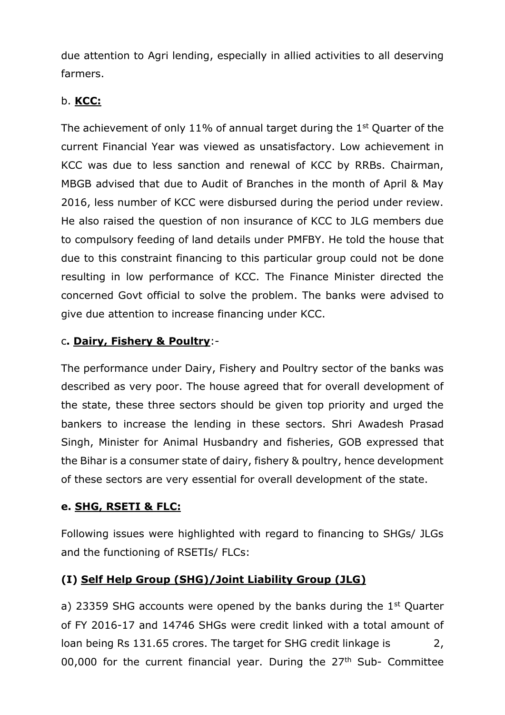due attention to Agri lending, especially in allied activities to all deserving farmers.

#### b. **KCC:**

The achievement of only 11% of annual target during the 1<sup>st</sup> Quarter of the current Financial Year was viewed as unsatisfactory. Low achievement in KCC was due to less sanction and renewal of KCC by RRBs. Chairman, MBGB advised that due to Audit of Branches in the month of April & May 2016, less number of KCC were disbursed during the period under review. He also raised the question of non insurance of KCC to JLG members due to compulsory feeding of land details under PMFBY. He told the house that due to this constraint financing to this particular group could not be done resulting in low performance of KCC. The Finance Minister directed the concerned Govt official to solve the problem. The banks were advised to give due attention to increase financing under KCC.

#### c**. Dairy, Fishery & Poultry**:-

The performance under Dairy, Fishery and Poultry sector of the banks was described as very poor. The house agreed that for overall development of the state, these three sectors should be given top priority and urged the bankers to increase the lending in these sectors. Shri Awadesh Prasad Singh, Minister for Animal Husbandry and fisheries, GOB expressed that the Bihar is a consumer state of dairy, fishery & poultry, hence development of these sectors are very essential for overall development of the state.

#### **e. SHG, RSETI & FLC:**

Following issues were highlighted with regard to financing to SHGs/ JLGs and the functioning of RSETIs/ FLCs:

## **(I) Self Help Group (SHG)/Joint Liability Group (JLG)**

a) 23359 SHG accounts were opened by the banks during the  $1<sup>st</sup>$  Quarter of FY 2016-17 and 14746 SHGs were credit linked with a total amount of loan being Rs 131.65 crores. The target for SHG credit linkage is 2, 00,000 for the current financial year. During the  $27<sup>th</sup>$  Sub- Committee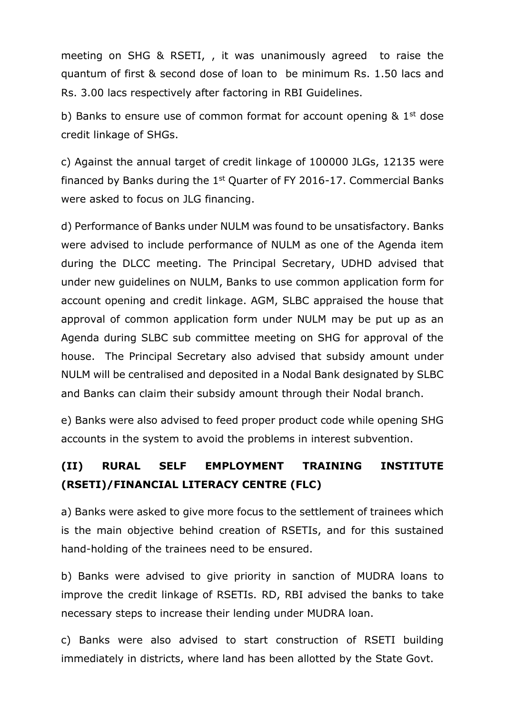meeting on SHG & RSETI, , it was unanimously agreed to raise the quantum of first & second dose of loan to be minimum Rs. 1.50 lacs and Rs. 3.00 lacs respectively after factoring in RBI Guidelines.

b) Banks to ensure use of common format for account opening  $\&$  1<sup>st</sup> dose credit linkage of SHGs.

c) Against the annual target of credit linkage of 100000 JLGs, 12135 were financed by Banks during the  $1<sup>st</sup>$  Quarter of FY 2016-17. Commercial Banks were asked to focus on JLG financing.

d) Performance of Banks under NULM was found to be unsatisfactory. Banks were advised to include performance of NULM as one of the Agenda item during the DLCC meeting. The Principal Secretary, UDHD advised that under new guidelines on NULM, Banks to use common application form for account opening and credit linkage. AGM, SLBC appraised the house that approval of common application form under NULM may be put up as an Agenda during SLBC sub committee meeting on SHG for approval of the house. The Principal Secretary also advised that subsidy amount under NULM will be centralised and deposited in a Nodal Bank designated by SLBC and Banks can claim their subsidy amount through their Nodal branch.

e) Banks were also advised to feed proper product code while opening SHG accounts in the system to avoid the problems in interest subvention.

# **(II) RURAL SELF EMPLOYMENT TRAINING INSTITUTE (RSETI)/FINANCIAL LITERACY CENTRE (FLC)**

a) Banks were asked to give more focus to the settlement of trainees which is the main objective behind creation of RSETIs, and for this sustained hand-holding of the trainees need to be ensured.

b) Banks were advised to give priority in sanction of MUDRA loans to improve the credit linkage of RSETIs. RD, RBI advised the banks to take necessary steps to increase their lending under MUDRA loan.

c) Banks were also advised to start construction of RSETI building immediately in districts, where land has been allotted by the State Govt.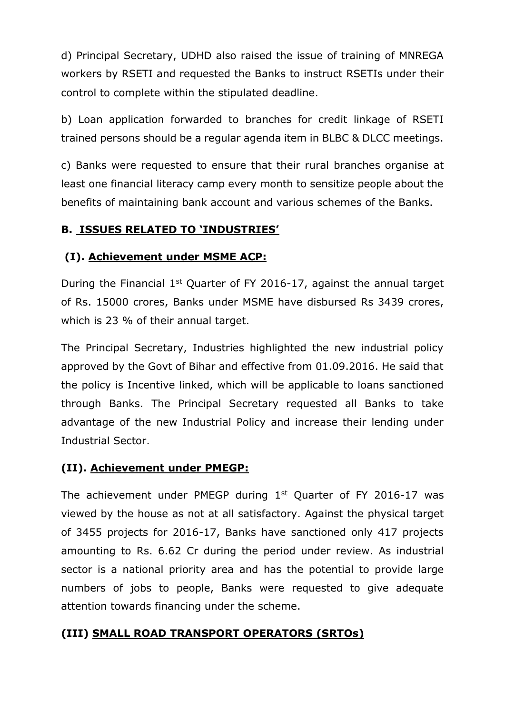d) Principal Secretary, UDHD also raised the issue of training of MNREGA workers by RSETI and requested the Banks to instruct RSETIs under their control to complete within the stipulated deadline.

b) Loan application forwarded to branches for credit linkage of RSETI trained persons should be a regular agenda item in BLBC & DLCC meetings.

c) Banks were requested to ensure that their rural branches organise at least one financial literacy camp every month to sensitize people about the benefits of maintaining bank account and various schemes of the Banks.

## **B. ISSUES RELATED TO 'INDUSTRIES'**

## **(I). Achievement under MSME ACP:**

During the Financial 1<sup>st</sup> Quarter of FY 2016-17, against the annual target of Rs. 15000 crores, Banks under MSME have disbursed Rs 3439 crores, which is 23 % of their annual target.

The Principal Secretary, Industries highlighted the new industrial policy approved by the Govt of Bihar and effective from 01.09.2016. He said that the policy is Incentive linked, which will be applicable to loans sanctioned through Banks. The Principal Secretary requested all Banks to take advantage of the new Industrial Policy and increase their lending under Industrial Sector.

## **(II). Achievement under PMEGP:**

The achievement under PMEGP during  $1<sup>st</sup>$  Quarter of FY 2016-17 was viewed by the house as not at all satisfactory. Against the physical target of 3455 projects for 2016-17, Banks have sanctioned only 417 projects amounting to Rs. 6.62 Cr during the period under review. As industrial sector is a national priority area and has the potential to provide large numbers of jobs to people, Banks were requested to give adequate attention towards financing under the scheme.

## **(III) SMALL ROAD TRANSPORT OPERATORS (SRTOs)**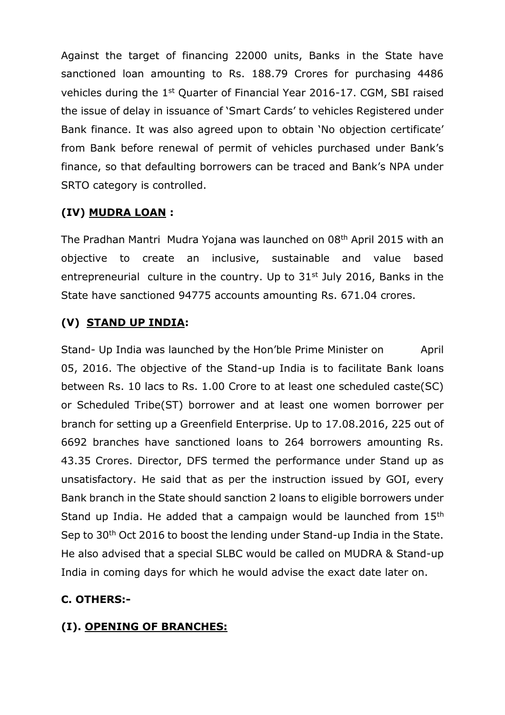Against the target of financing 22000 units, Banks in the State have sanctioned loan amounting to Rs. 188.79 Crores for purchasing 4486 vehicles during the 1st Quarter of Financial Year 2016-17. CGM, SBI raised the issue of delay in issuance of 'Smart Cards' to vehicles Registered under Bank finance. It was also agreed upon to obtain 'No objection certificate' from Bank before renewal of permit of vehicles purchased under Bank's finance, so that defaulting borrowers can be traced and Bank's NPA under SRTO category is controlled.

## **(IV) MUDRA LOAN :**

The Pradhan Mantri Mudra Yojana was launched on 08th April 2015 with an objective to create an inclusive, sustainable and value based entrepreneurial culture in the country. Up to  $31<sup>st</sup>$  July 2016, Banks in the State have sanctioned 94775 accounts amounting Rs. 671.04 crores.

## **(V) STAND UP INDIA:**

Stand- Up India was launched by the Hon'ble Prime Minister on April 05, 2016. The objective of the Stand-up India is to facilitate Bank loans between Rs. 10 lacs to Rs. 1.00 Crore to at least one scheduled caste(SC) or Scheduled Tribe(ST) borrower and at least one women borrower per branch for setting up a Greenfield Enterprise. Up to 17.08.2016, 225 out of 6692 branches have sanctioned loans to 264 borrowers amounting Rs. 43.35 Crores. Director, DFS termed the performance under Stand up as unsatisfactory. He said that as per the instruction issued by GOI, every Bank branch in the State should sanction 2 loans to eligible borrowers under Stand up India. He added that a campaign would be launched from 15<sup>th</sup> Sep to 30<sup>th</sup> Oct 2016 to boost the lending under Stand-up India in the State. He also advised that a special SLBC would be called on MUDRA & Stand-up India in coming days for which he would advise the exact date later on.

## **C. OTHERS:-**

## **(I). OPENING OF BRANCHES:**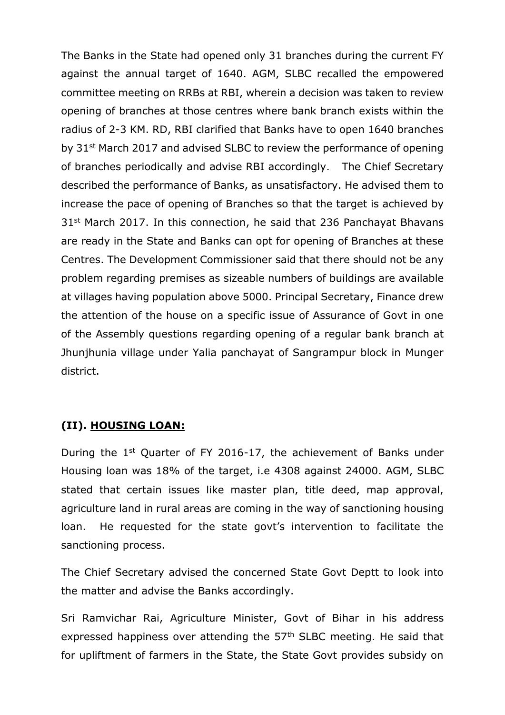The Banks in the State had opened only 31 branches during the current FY against the annual target of 1640. AGM, SLBC recalled the empowered committee meeting on RRBs at RBI, wherein a decision was taken to review opening of branches at those centres where bank branch exists within the radius of 2-3 KM. RD, RBI clarified that Banks have to open 1640 branches by 31<sup>st</sup> March 2017 and advised SLBC to review the performance of opening of branches periodically and advise RBI accordingly. The Chief Secretary described the performance of Banks, as unsatisfactory. He advised them to increase the pace of opening of Branches so that the target is achieved by 31<sup>st</sup> March 2017. In this connection, he said that 236 Panchayat Bhavans are ready in the State and Banks can opt for opening of Branches at these Centres. The Development Commissioner said that there should not be any problem regarding premises as sizeable numbers of buildings are available at villages having population above 5000. Principal Secretary, Finance drew the attention of the house on a specific issue of Assurance of Govt in one of the Assembly questions regarding opening of a regular bank branch at Jhunjhunia village under Yalia panchayat of Sangrampur block in Munger district.

#### **(II). HOUSING LOAN:**

During the 1st Quarter of FY 2016-17, the achievement of Banks under Housing loan was 18% of the target, i.e 4308 against 24000. AGM, SLBC stated that certain issues like master plan, title deed, map approval, agriculture land in rural areas are coming in the way of sanctioning housing loan. He requested for the state govt's intervention to facilitate the sanctioning process.

The Chief Secretary advised the concerned State Govt Deptt to look into the matter and advise the Banks accordingly.

Sri Ramvichar Rai, Agriculture Minister, Govt of Bihar in his address expressed happiness over attending the 57<sup>th</sup> SLBC meeting. He said that for upliftment of farmers in the State, the State Govt provides subsidy on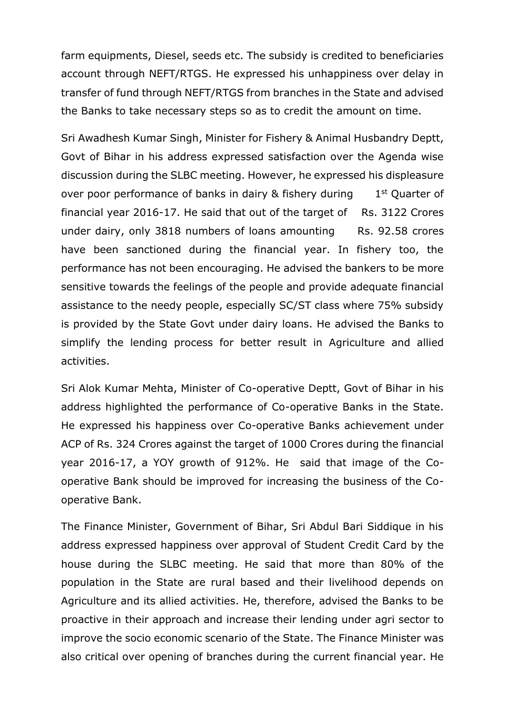farm equipments, Diesel, seeds etc. The subsidy is credited to beneficiaries account through NEFT/RTGS. He expressed his unhappiness over delay in transfer of fund through NEFT/RTGS from branches in the State and advised the Banks to take necessary steps so as to credit the amount on time.

Sri Awadhesh Kumar Singh, Minister for Fishery & Animal Husbandry Deptt, Govt of Bihar in his address expressed satisfaction over the Agenda wise discussion during the SLBC meeting. However, he expressed his displeasure over poor performance of banks in dairy & fishery during 1  $1<sup>st</sup>$  Quarter of financial year  $2016-17$ . He said that out of the target of Rs. 3122 Crores under dairy, only 3818 numbers of loans amounting Rs. 92.58 crores have been sanctioned during the financial year. In fishery too, the performance has not been encouraging. He advised the bankers to be more sensitive towards the feelings of the people and provide adequate financial assistance to the needy people, especially SC/ST class where 75% subsidy is provided by the State Govt under dairy loans. He advised the Banks to simplify the lending process for better result in Agriculture and allied activities.

Sri Alok Kumar Mehta, Minister of Co-operative Deptt, Govt of Bihar in his address highlighted the performance of Co-operative Banks in the State. He expressed his happiness over Co-operative Banks achievement under ACP of Rs. 324 Crores against the target of 1000 Crores during the financial year 2016-17, a YOY growth of 912%. He said that image of the Cooperative Bank should be improved for increasing the business of the Cooperative Bank.

The Finance Minister, Government of Bihar, Sri Abdul Bari Siddique in his address expressed happiness over approval of Student Credit Card by the house during the SLBC meeting. He said that more than 80% of the population in the State are rural based and their livelihood depends on Agriculture and its allied activities. He, therefore, advised the Banks to be proactive in their approach and increase their lending under agri sector to improve the socio economic scenario of the State. The Finance Minister was also critical over opening of branches during the current financial year. He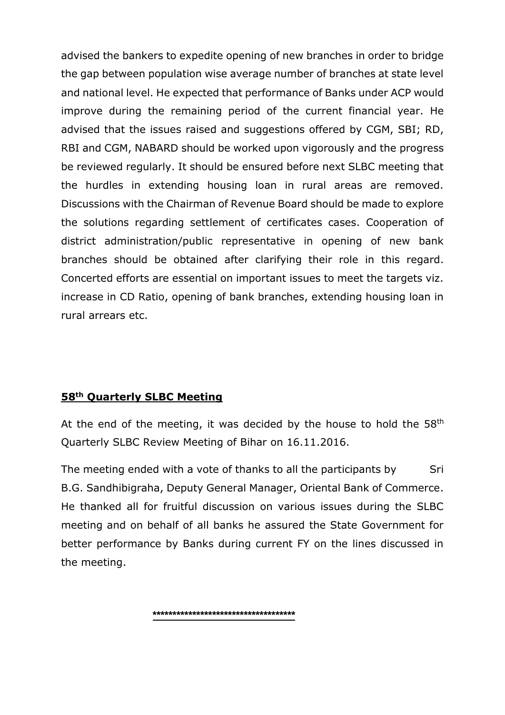advised the bankers to expedite opening of new branches in order to bridge the gap between population wise average number of branches at state level and national level. He expected that performance of Banks under ACP would improve during the remaining period of the current financial year. He advised that the issues raised and suggestions offered by CGM, SBI; RD, RBI and CGM, NABARD should be worked upon vigorously and the progress be reviewed regularly. It should be ensured before next SLBC meeting that the hurdles in extending housing loan in rural areas are removed. Discussions with the Chairman of Revenue Board should be made to explore the solutions regarding settlement of certificates cases. Cooperation of district administration/public representative in opening of new bank branches should be obtained after clarifying their role in this regard. Concerted efforts are essential on important issues to meet the targets viz. increase in CD Ratio, opening of bank branches, extending housing loan in rural arrears etc.

#### **58th Quarterly SLBC Meeting**

At the end of the meeting, it was decided by the house to hold the  $58<sup>th</sup>$ Quarterly SLBC Review Meeting of Bihar on 16.11.2016.

The meeting ended with a vote of thanks to all the participants by Sri B.G. Sandhibigraha, Deputy General Manager, Oriental Bank of Commerce. He thanked all for fruitful discussion on various issues during the SLBC meeting and on behalf of all banks he assured the State Government for better performance by Banks during current FY on the lines discussed in the meeting.

**\*\*\*\*\*\*\*\*\*\*\*\*\*\*\*\*\*\*\*\*\*\*\*\*\*\*\*\*\*\*\*\*\*\*\*\***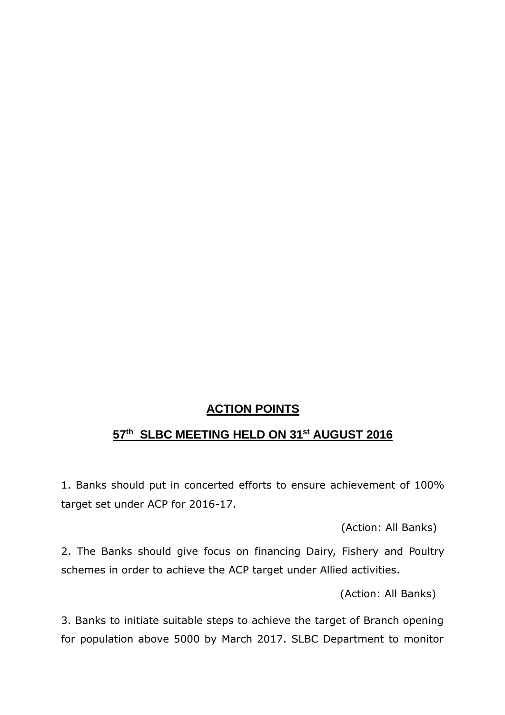## **ACTION POINTS**

#### **57 th SLBC MEETING HELD ON 31st AUGUST 2016**

1. Banks should put in concerted efforts to ensure achievement of 100% target set under ACP for 2016-17.

(Action: All Banks)

2. The Banks should give focus on financing Dairy, Fishery and Poultry schemes in order to achieve the ACP target under Allied activities.

(Action: All Banks)

3. Banks to initiate suitable steps to achieve the target of Branch opening for population above 5000 by March 2017. SLBC Department to monitor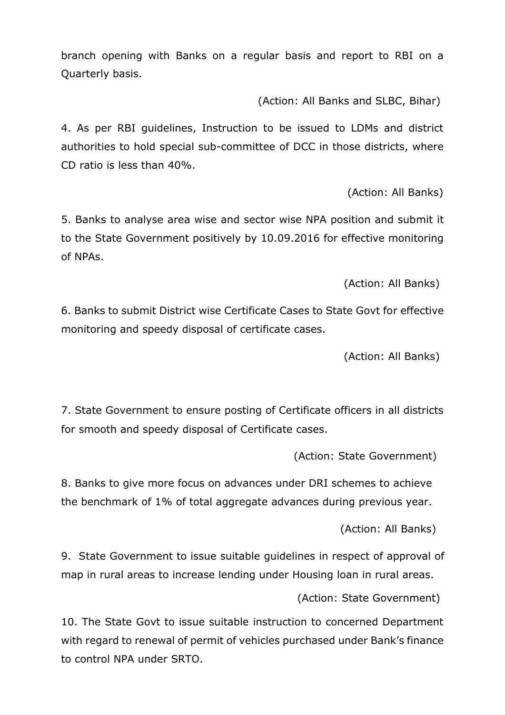branch opening with Banks on a regular basis and report to RBI on a Quarterly basis.

(Action: All Banks and SLBC, Bihar)

4. As per RBI guidelines, Instruction to be issued to LDMs and district authorities to hold special sub-committee of DCC in those districts, where CD ratio is less than 40%.

(Action: All Banks)

5. Banks to analyse area wise and sector wise NPA position and submit it to the State Government positively by 10.09.2016 for effective monitoring of NPAs.

(Action: All Banks)

6. Banks to submit District wise Certificate Cases to State Govt for effective monitoring and speedy disposal of certificate cases.

(Action: All Banks)

7. State Government to ensure posting of Certificate officers in all districts for smooth and speedy disposal of Certificate cases.

(Action: State Government)

8. Banks to give more focus on advances under DRI schemes to achieve the benchmark of 1% of total aggregate advances during previous year.

(Action: All Banks)

9. State Government to issue suitable guidelines in respect of approval of map in rural areas to increase lending under Housing loan in rural areas.

(Action: State Government)

10. The State Govt to issue suitable instruction to concerned Department with regard to renewal of permit of vehicles purchased under Bank's finance to control NPA under SRTO.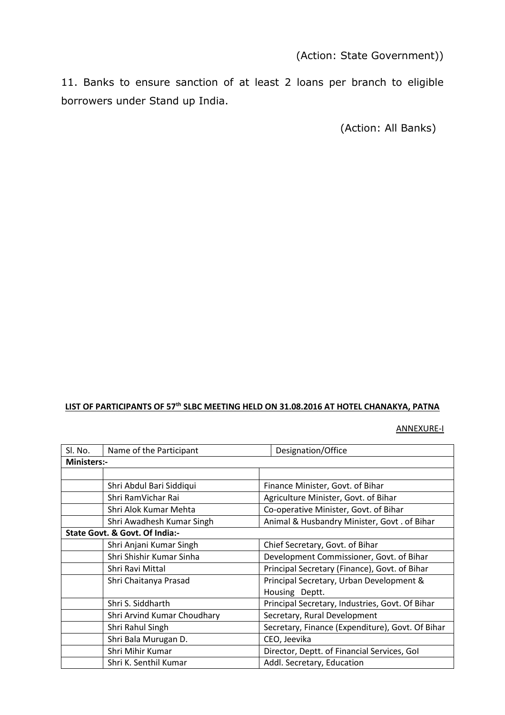11. Banks to ensure sanction of at least 2 loans per branch to eligible borrowers under Stand up India.

(Action: All Banks)

## **LIST OF PARTICIPANTS OF 57th SLBC MEETING HELD ON 31.08.2016 AT HOTEL CHANAKYA, PATNA**

ANNEXURE-I

| Sl. No.                        | Name of the Participant     | Designation/Office                               |  |
|--------------------------------|-----------------------------|--------------------------------------------------|--|
| <b>Ministers:-</b>             |                             |                                                  |  |
|                                |                             |                                                  |  |
|                                | Shri Abdul Bari Siddiqui    | Finance Minister, Govt. of Bihar                 |  |
|                                | Shri RamVichar Rai          | Agriculture Minister, Govt. of Bihar             |  |
|                                | Shri Alok Kumar Mehta       | Co-operative Minister, Govt. of Bihar            |  |
|                                | Shri Awadhesh Kumar Singh   | Animal & Husbandry Minister, Govt. of Bihar      |  |
| State Govt. & Govt. Of India:- |                             |                                                  |  |
|                                | Shri Anjani Kumar Singh     | Chief Secretary, Govt. of Bihar                  |  |
|                                | Shri Shishir Kumar Sinha    | Development Commissioner, Govt. of Bihar         |  |
|                                | Shri Ravi Mittal            | Principal Secretary (Finance), Govt. of Bihar    |  |
|                                | Shri Chaitanya Prasad       | Principal Secretary, Urban Development &         |  |
|                                |                             | Housing Deptt.                                   |  |
|                                | Shri S. Siddharth           | Principal Secretary, Industries, Govt. Of Bihar  |  |
|                                | Shri Arvind Kumar Choudhary | Secretary, Rural Development                     |  |
|                                | Shri Rahul Singh            | Secretary, Finance (Expenditure), Govt. Of Bihar |  |
|                                | Shri Bala Murugan D.        | CEO, Jeevika                                     |  |
|                                | Shri Mihir Kumar            | Director, Deptt. of Financial Services, Gol      |  |
|                                | Shri K. Senthil Kumar       | Addl. Secretary, Education                       |  |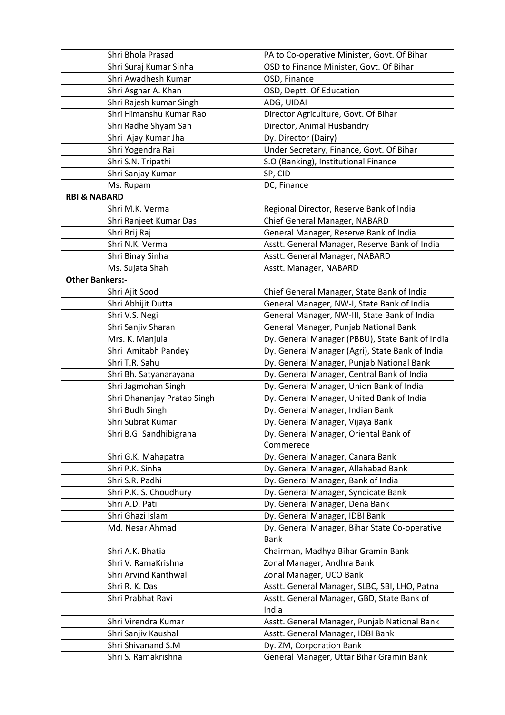|                         | Shri Bhola Prasad           | PA to Co-operative Minister, Govt. Of Bihar                  |  |  |
|-------------------------|-----------------------------|--------------------------------------------------------------|--|--|
|                         | Shri Suraj Kumar Sinha      | OSD to Finance Minister, Govt. Of Bihar                      |  |  |
|                         | Shri Awadhesh Kumar         | OSD, Finance                                                 |  |  |
|                         | Shri Asghar A. Khan         | OSD, Deptt. Of Education                                     |  |  |
|                         | Shri Rajesh kumar Singh     | ADG, UIDAI                                                   |  |  |
|                         | Shri Himanshu Kumar Rao     | Director Agriculture, Govt. Of Bihar                         |  |  |
|                         | Shri Radhe Shyam Sah        | Director, Animal Husbandry                                   |  |  |
|                         | Shri Ajay Kumar Jha         | Dy. Director (Dairy)                                         |  |  |
|                         | Shri Yogendra Rai           | Under Secretary, Finance, Govt. Of Bihar                     |  |  |
|                         | Shri S.N. Tripathi          | S.O (Banking), Institutional Finance                         |  |  |
|                         | Shri Sanjay Kumar           | SP, CID                                                      |  |  |
|                         | Ms. Rupam                   | DC, Finance                                                  |  |  |
| <b>RBI &amp; NABARD</b> |                             |                                                              |  |  |
|                         | Shri M.K. Verma             | Regional Director, Reserve Bank of India                     |  |  |
|                         | Shri Ranjeet Kumar Das      | Chief General Manager, NABARD                                |  |  |
|                         | Shri Brij Raj               | General Manager, Reserve Bank of India                       |  |  |
|                         | Shri N.K. Verma             | Asstt. General Manager, Reserve Bank of India                |  |  |
|                         | Shri Binay Sinha            | Asstt. General Manager, NABARD                               |  |  |
|                         | Ms. Sujata Shah             | Asstt. Manager, NABARD                                       |  |  |
| <b>Other Bankers:-</b>  |                             |                                                              |  |  |
|                         | Shri Ajit Sood              | Chief General Manager, State Bank of India                   |  |  |
|                         | Shri Abhijit Dutta          | General Manager, NW-I, State Bank of India                   |  |  |
|                         | Shri V.S. Negi              | General Manager, NW-III, State Bank of India                 |  |  |
|                         | Shri Sanjiv Sharan          | General Manager, Punjab National Bank                        |  |  |
|                         | Mrs. K. Manjula             | Dy. General Manager (PBBU), State Bank of India              |  |  |
|                         | Shri Amitabh Pandey         | Dy. General Manager (Agri), State Bank of India              |  |  |
|                         | Shri T.R. Sahu              | Dy. General Manager, Punjab National Bank                    |  |  |
|                         | Shri Bh. Satyanarayana      | Dy. General Manager, Central Bank of India                   |  |  |
|                         | Shri Jagmohan Singh         | Dy. General Manager, Union Bank of India                     |  |  |
|                         | Shri Dhananjay Pratap Singh | Dy. General Manager, United Bank of India                    |  |  |
|                         | Shri Budh Singh             | Dy. General Manager, Indian Bank                             |  |  |
|                         | Shri Subrat Kumar           | Dy. General Manager, Vijaya Bank                             |  |  |
|                         | Shri B.G. Sandhibigraha     | Dy. General Manager, Oriental Bank of                        |  |  |
|                         |                             | Commerece                                                    |  |  |
|                         | Shri G.K. Mahapatra         | Dy. General Manager, Canara Bank                             |  |  |
|                         | Shri P.K. Sinha             | Dy. General Manager, Allahabad Bank                          |  |  |
|                         | Shri S.R. Padhi             | Dy. General Manager, Bank of India                           |  |  |
|                         | Shri P.K. S. Choudhury      | Dy. General Manager, Syndicate Bank                          |  |  |
|                         | Shri A.D. Patil             | Dy. General Manager, Dena Bank                               |  |  |
|                         | Shri Ghazi Islam            | Dy. General Manager, IDBI Bank                               |  |  |
|                         | Md. Nesar Ahmad             | Dy. General Manager, Bihar State Co-operative<br><b>Bank</b> |  |  |
|                         | Shri A.K. Bhatia            | Chairman, Madhya Bihar Gramin Bank                           |  |  |
|                         | Shri V. RamaKrishna         | Zonal Manager, Andhra Bank                                   |  |  |
|                         | Shri Arvind Kanthwal        | Zonal Manager, UCO Bank                                      |  |  |
|                         | Shri R. K. Das              | Asstt. General Manager, SLBC, SBI, LHO, Patna                |  |  |
|                         | Shri Prabhat Ravi           | Asstt. General Manager, GBD, State Bank of                   |  |  |
|                         |                             | India                                                        |  |  |
|                         | Shri Virendra Kumar         | Asstt. General Manager, Punjab National Bank                 |  |  |
|                         | Shri Sanjiv Kaushal         | Asstt. General Manager, IDBI Bank                            |  |  |
|                         | Shri Shivanand S.M          | Dy. ZM, Corporation Bank                                     |  |  |
|                         | Shri S. Ramakrishna         | General Manager, Uttar Bihar Gramin Bank                     |  |  |